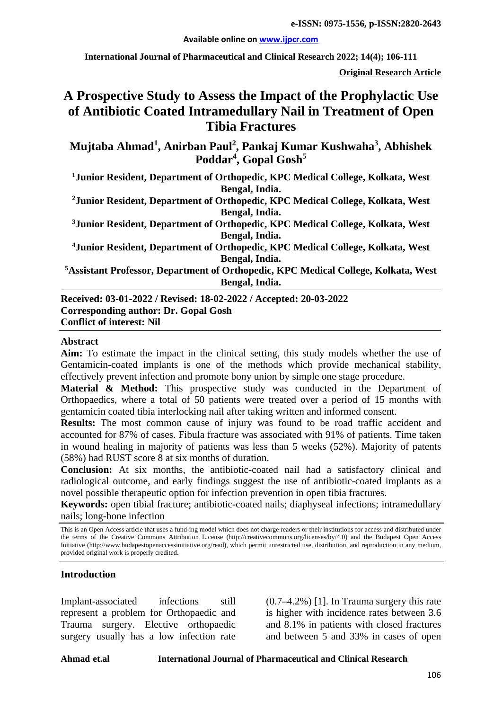**Available online on [www.ijpcr.com](http://www.ijpcr.com/)**

**International Journal of Pharmaceutical and Clinical Research 2022; 14(4); 106-111**

**Original Research Article**

# **A Prospective Study to Assess the Impact of the Prophylactic Use of Antibiotic Coated Intramedullary Nail in Treatment of Open Tibia Fractures**

**Mujtaba Ahmad<sup>1</sup> , Anirban Paul<sup>2</sup> , Pankaj Kumar Kushwaha3 , Abhishek Poddar4 , Gopal Gosh<sup>5</sup>**

**1 Junior Resident, Department of Orthopedic, KPC Medical College, Kolkata, West Bengal, India.**

**2Junior Resident, Department of Orthopedic, KPC Medical College, Kolkata, West Bengal, India.**

**3 Junior Resident, Department of Orthopedic, KPC Medical College, Kolkata, West Bengal, India.**

**4Junior Resident, Department of Orthopedic, KPC Medical College, Kolkata, West Bengal, India.**

**5 Assistant Professor, Department of Orthopedic, KPC Medical College, Kolkata, West Bengal, India.**

**Received: 03-01-2022 / Revised: 18-02-2022 / Accepted: 20-03-2022 Corresponding author: Dr. Gopal Gosh Conflict of interest: Nil**

#### **Abstract**

**Aim:** To estimate the impact in the clinical setting, this study models whether the use of Gentamicin-coated implants is one of the methods which provide mechanical stability, effectively prevent infection and promote bony union by simple one stage procedure.

**Material & Method:** This prospective study was conducted in the Department of Orthopaedics, where a total of 50 patients were treated over a period of 15 months with gentamicin coated tibia interlocking nail after taking written and informed consent.

**Results:** The most common cause of injury was found to be road traffic accident and accounted for 87% of cases. Fibula fracture was associated with 91% of patients. Time taken in wound healing in majority of patients was less than 5 weeks (52%). Majority of patents (58%) had RUST score 8 at six months of duration.

**Conclusion:** At six months, the antibiotic-coated nail had a satisfactory clinical and radiological outcome, and early findings suggest the use of antibiotic-coated implants as a novel possible therapeutic option for infection prevention in open tibia fractures.

**Keywords:** open tibial fracture; antibiotic-coated nails; diaphyseal infections; intramedullary nails; long-bone infection

This is an Open Access article that uses a fund-ing model which does not charge readers or their institutions for access and distributed under the terms of the Creative Commons Attribution License (http://creativecommons.org/licenses/by/4.0) and the Budapest Open Access Initiative (http://www.budapestopenaccessinitiative.org/read), which permit unrestricted use, distribution, and reproduction in any medium, provided original work is properly credited.

#### **Introduction**

Implant-associated infections still represent a problem for Orthopaedic and Trauma surgery. Elective orthopaedic surgery usually has a low infection rate (0.7–4.2%) [1]. In Trauma surgery this rate is higher with incidence rates between 3.6 and 8.1% in patients with closed fractures and between 5 and 33% in cases of open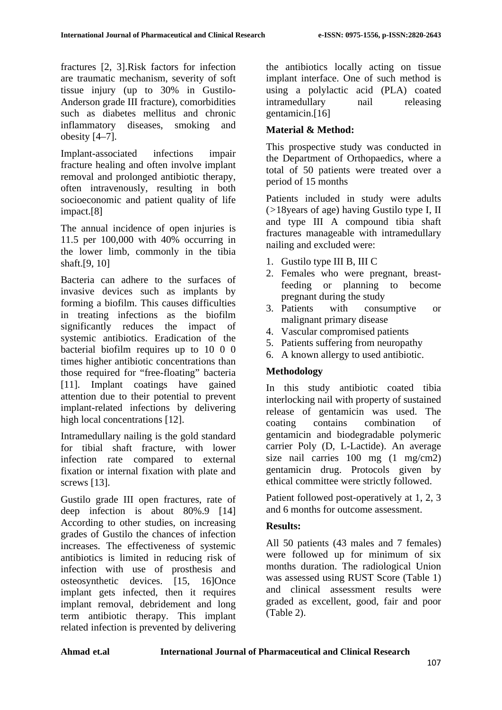fractures [2, 3].Risk factors for infection are traumatic mechanism, severity of soft tissue injury (up to 30% in Gustilo-Anderson grade III fracture), comorbidities such as diabetes mellitus and chronic inflammatory diseases, smoking and obesity [4–7].

Implant-associated infections impair fracture healing and often involve implant removal and prolonged antibiotic therapy, often intravenously, resulting in both socioeconomic and patient quality of life impact.[8]

The annual incidence of open injuries is 11.5 per 100,000 with 40% occurring in the lower limb, commonly in the tibia shaft.[9, 10]

Bacteria can adhere to the surfaces of invasive devices such as implants by forming a biofilm. This causes difficulties in treating infections as the biofilm significantly reduces the impact of systemic antibiotics. Eradication of the bacterial biofilm requires up to 10 0 0 times higher antibiotic concentrations than those required for "free-floating" bacteria [11]. Implant coatings have gained attention due to their potential to prevent implant-related infections by delivering high local concentrations [12].

Intramedullary nailing is the gold standard for tibial shaft fracture, with lower infection rate compared to external fixation or internal fixation with plate and screws [13].

Gustilo grade III open fractures, rate of deep infection is about 80%.9 [14] According to other studies, on increasing grades of Gustilo the chances of infection increases. The effectiveness of systemic antibiotics is limited in reducing risk of infection with use of prosthesis and osteosynthetic devices. [15, 16]Once implant gets infected, then it requires implant removal, debridement and long term antibiotic therapy. This implant related infection is prevented by delivering

the antibiotics locally acting on tissue implant interface. One of such method is using a polylactic acid (PLA) coated intramedullary nail releasing gentamicin.[16]

## **Material & Method:**

This prospective study was conducted in the Department of Orthopaedics, where a total of 50 patients were treated over a period of 15 months

Patients included in study were adults (*>*18years of age) having Gustilo type I, II and type III A compound tibia shaft fractures manageable with intramedullary nailing and excluded were:

- 1. Gustilo type III B, III C
- 2. Females who were pregnant, breastfeeding or planning to become pregnant during the study
- 3. Patients with consumptive or malignant primary disease
- 4. Vascular compromised patients
- 5. Patients suffering from neuropathy
- 6. A known allergy to used antibiotic.

## **Methodology**

In this study antibiotic coated tibia interlocking nail with property of sustained release of gentamicin was used. The coating contains combination of gentamicin and biodegradable polymeric carrier Poly (D, L-Lactide). An average size nail carries 100 mg (1 mg/cm2) gentamicin drug. Protocols given by ethical committee were strictly followed.

Patient followed post-operatively at 1, 2, 3 and 6 months for outcome assessment.

## **Results:**

All 50 patients (43 males and 7 females) were followed up for minimum of six months duration. The radiological Union was assessed using RUST Score (Table 1) and clinical assessment results were graded as excellent, good, fair and poor (Table 2).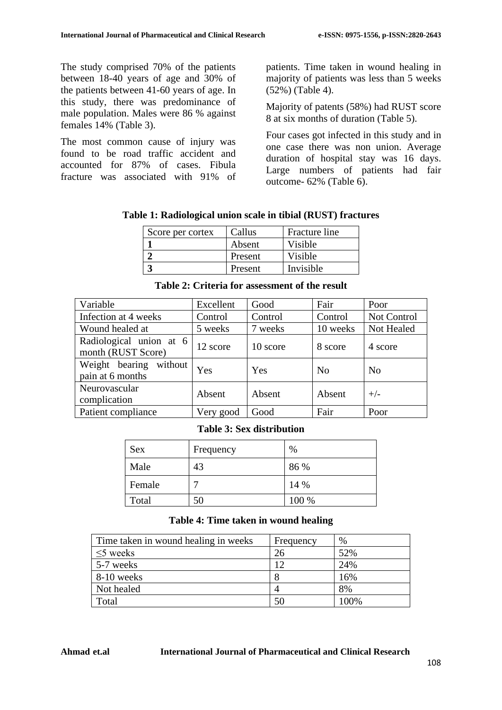The study comprised 70% of the patients between 18-40 years of age and 30% of the patients between 41-60 years of age. In this study, there was predominance of male population. Males were 86 % against females 14% (Table 3).

The most common cause of injury was found to be road traffic accident and accounted for 87% of cases. Fibula fracture was associated with 91% of patients. Time taken in wound healing in majority of patients was less than 5 weeks (52%) (Table 4).

Majority of patents (58%) had RUST score 8 at six months of duration (Table 5).

Four cases got infected in this study and in one case there was non union. Average duration of hospital stay was 16 days. Large numbers of patients had fair outcome- 62% (Table 6).

| Score per cortex | Callus  | Fracture line |
|------------------|---------|---------------|
|                  | Absent  | Visible       |
|                  | Present | Visible       |
|                  | Present | Invisible     |
|                  |         |               |

| Variable                                      | Excellent | Good     | Fair           | Poor           |
|-----------------------------------------------|-----------|----------|----------------|----------------|
| Infection at 4 weeks                          | Control   | Control  | Control        | Not Control    |
| Wound healed at                               | 5 weeks   | 7 weeks  | 10 weeks       | Not Healed     |
| Radiological union at 6<br>month (RUST Score) | 12 score  | 10 score | 8 score        | 4 score        |
| Weight bearing<br>without<br>pain at 6 months | Yes       | Yes      | N <sub>o</sub> | N <sub>0</sub> |
| Neurovascular<br>complication                 | Absent    | Absent   | Absent         | $+/-$          |
| Patient compliance                            | Very good | Good     | Fair           | Poor           |

**Table 2: Criteria for assessment of the result**

#### **Table 3: Sex distribution**

| <b>Sex</b> | Frequency | $\%$  |
|------------|-----------|-------|
| Male       | 43        | 86 %  |
| Female     |           | 14 %  |
| Total      | 50        | 100 % |

#### **Table 4: Time taken in wound healing**

| Time taken in wound healing in weeks | Frequency | %    |
|--------------------------------------|-----------|------|
| $\leq$ weeks                         | 26        | 52%  |
| 5-7 weeks                            | 12        | 24%  |
| 8-10 weeks                           |           | 16%  |
| Not healed                           |           | 8%   |
| Total                                | 50        | 100% |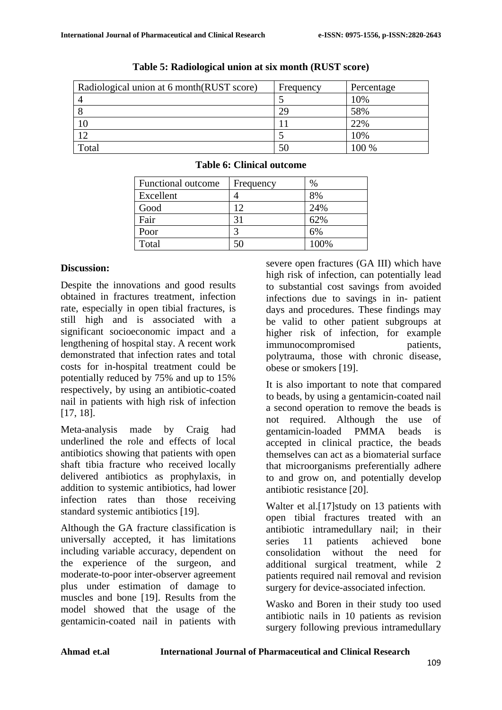| Radiological union at 6 month(RUST score) | Frequency | Percentage |
|-------------------------------------------|-----------|------------|
|                                           |           | 10%        |
|                                           | 29        | 58%        |
|                                           |           | 22%        |
| ר ו                                       |           | 10%        |
| Total                                     | 50        | $100\%$    |

#### **Table 5: Radiological union at six month (RUST score)**

| <b>Table 6: Clinical outcome</b> |
|----------------------------------|
|                                  |

| Functional outcome | Frequency | $\%$ |
|--------------------|-----------|------|
| Excellent          |           | 8%   |
| Good               | 12        | 24%  |
| Fair               | 31        | 62%  |
| Poor               |           | 6%   |
| Total              |           | 100% |

#### **Discussion:**

Despite the innovations and good results obtained in fractures treatment, infection rate, especially in open tibial fractures, is still high and is associated with a significant socioeconomic impact and a lengthening of hospital stay. A recent work demonstrated that infection rates and total costs for in-hospital treatment could be potentially reduced by 75% and up to 15% respectively, by using an antibiotic-coated nail in patients with high risk of infection [17, 18].

Meta-analysis made by Craig had underlined the role and effects of local antibiotics showing that patients with open shaft tibia fracture who received locally delivered antibiotics as prophylaxis, in addition to systemic antibiotics, had lower infection rates than those receiving standard systemic antibiotics [19].

Although the GA fracture classification is universally accepted, it has limitations including variable accuracy, dependent on the experience of the surgeon, and moderate-to-poor inter-observer agreement plus under estimation of damage to muscles and bone [19]. Results from the model showed that the usage of the gentamicin-coated nail in patients with severe open fractures (GA III) which have high risk of infection, can potentially lead to substantial cost savings from avoided infections due to savings in in- patient days and procedures. These findings may be valid to other patient subgroups at higher risk of infection, for example immunocompromised patients, polytrauma, those with chronic disease, obese or smokers [19].

It is also important to note that compared to beads, by using a gentamicin-coated nail a second operation to remove the beads is not required. Although the use of gentamicin-loaded PMMA beads is accepted in clinical practice, the beads themselves can act as a biomaterial surface that microorganisms preferentially adhere to and grow on, and potentially develop antibiotic resistance [20].

Walter et al.<sup>[17]</sup>study on 13 patients with open tibial fractures treated with an antibiotic intramedullary nail; in their series 11 patients achieved bone consolidation without the need for additional surgical treatment, while 2 patients required nail removal and revision surgery for device-associated infection.

Wasko and Boren in their study too used antibiotic nails in 10 patients as revision surgery following previous intramedullary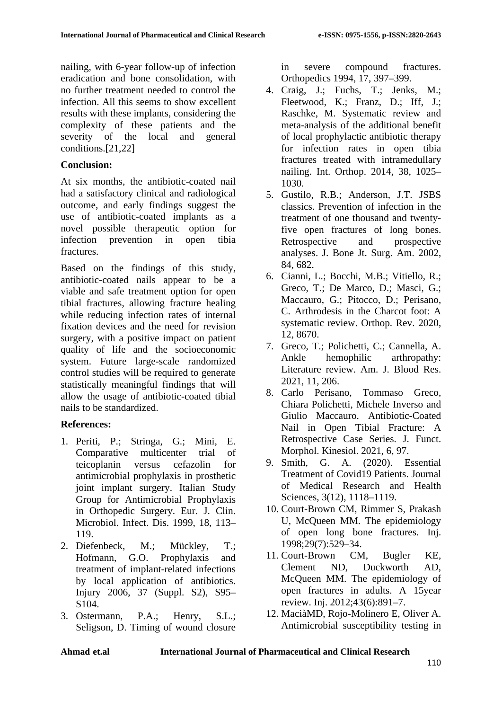nailing, with 6-year follow-up of infection eradication and bone consolidation, with no further treatment needed to control the infection. All this seems to show excellent results with these implants, considering the complexity of these patients and the severity of the local and general conditions.[21,22]

#### **Conclusion:**

At six months, the antibiotic-coated nail had a satisfactory clinical and radiological outcome, and early findings suggest the use of antibiotic-coated implants as a novel possible therapeutic option for infection prevention in open tibia fractures.

Based on the findings of this study, antibiotic-coated nails appear to be a viable and safe treatment option for open tibial fractures, allowing fracture healing while reducing infection rates of internal fixation devices and the need for revision surgery, with a positive impact on patient quality of life and the socioeconomic system. Future large-scale randomized control studies will be required to generate statistically meaningful findings that will allow the usage of antibiotic-coated tibial nails to be standardized.

## **References:**

- 1. Periti, P.; Stringa, G.; Mini, E. Comparative multicenter trial of teicoplanin versus cefazolin for antimicrobial prophylaxis in prosthetic joint implant surgery. Italian Study Group for Antimicrobial Prophylaxis in Orthopedic Surgery. Eur. J. Clin. Microbiol. Infect. Dis. 1999, 18, 113– 119.
- 2. Diefenbeck, M.; Mückley, T.; Hofmann, G.O. Prophylaxis and treatment of implant-related infections by local application of antibiotics. Injury 2006, 37 (Suppl. S2), S95– S104.
- 3. Ostermann, P.A.; Henry, S.L.; Seligson, D. Timing of wound closure

in severe compound fractures. Orthopedics 1994, 17, 397–399.

- 4. Craig, J.; Fuchs, T.; Jenks, M.; Fleetwood, K.; Franz, D.; Iff, J.; Raschke, M. Systematic review and meta-analysis of the additional benefit of local prophylactic antibiotic therapy for infection rates in open tibia fractures treated with intramedullary nailing. Int. Orthop. 2014, 38, 1025– 1030.
- 5. Gustilo, R.B.; Anderson, J.T. JSBS classics. Prevention of infection in the treatment of one thousand and twentyfive open fractures of long bones. Retrospective and prospective analyses. J. Bone Jt. Surg. Am. 2002, 84, 682.
- 6. Cianni, L.; Bocchi, M.B.; Vitiello, R.; Greco, T.; De Marco, D.; Masci, G.; Maccauro, G.; Pitocco, D.; Perisano, C. Arthrodesis in the Charcot foot: A systematic review. Orthop. Rev. 2020, 12, 8670.
- 7. Greco, T.; Polichetti, C.; Cannella, A. Ankle hemophilic arthropathy: Literature review. Am. J. Blood Res. 2021, 11, 206.
- 8. Carlo Perisano, Tommaso Greco, Chiara Polichetti, Michele Inverso and Giulio Maccauro. Antibiotic-Coated Nail in Open Tibial Fracture: A Retrospective Case Series. J. Funct. Morphol. Kinesiol. 2021, 6, 97.
- 9. Smith, G. A. (2020). Essential Treatment of Covid19 Patients. Journal of Medical Research and Health Sciences, 3(12), 1118–1119.
- 10. Court-Brown CM, Rimmer S, Prakash U, McQueen MM. The epidemiology of open long bone fractures. Inj. 1998;29(7):529–34.
- 11. Court-Brown CM, Bugler KE,<br>Clement ND, Duckworth AD. Clement ND, Duckworth AD, McQueen MM. The epidemiology of open fractures in adults. A 15year review. Inj. 2012;43(6):891–7.
- 12. MaciàMD, Rojo-Molinero E, Oliver A. Antimicrobial susceptibility testing in